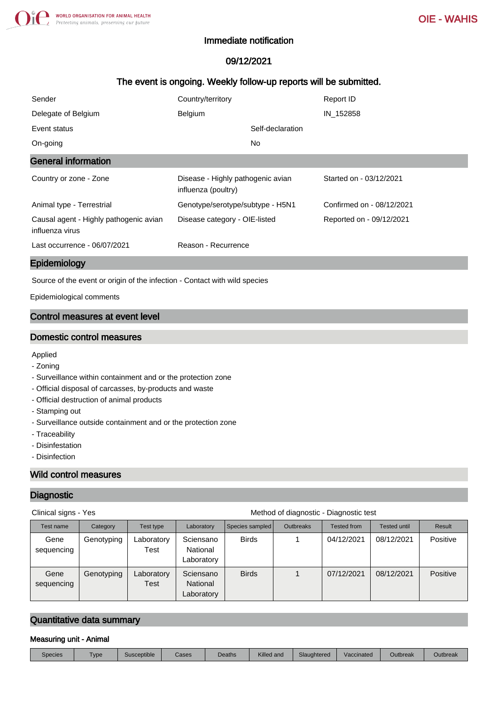### Immediate notification

# 09/12/2021

## The event is ongoing. Weekly follow-up reports will be submitted.

| Sender                                                    | Country/territory                                        | Report ID                 |
|-----------------------------------------------------------|----------------------------------------------------------|---------------------------|
| Delegate of Belgium                                       | Belgium                                                  | IN 152858                 |
| Event status                                              | Self-declaration                                         |                           |
| On-going                                                  | No.                                                      |                           |
| <b>General information</b>                                |                                                          |                           |
| Country or zone - Zone                                    | Disease - Highly pathogenic avian<br>influenza (poultry) | Started on - 03/12/2021   |
| Animal type - Terrestrial                                 | Genotype/serotype/subtype - H5N1                         | Confirmed on - 08/12/2021 |
| Causal agent - Highly pathogenic avian<br>influenza virus | Disease category - OIE-listed                            | Reported on - 09/12/2021  |
| Last occurrence - 06/07/2021                              | Reason - Recurrence                                      |                           |

#### Epidemiology

Source of the event or origin of the infection - Contact with wild species

Epidemiological comments

### Control measures at event level

#### Domestic control measures

### Applied

- Zoning
- Surveillance within containment and or the protection zone
- Official disposal of carcasses, by-products and waste
- Official destruction of animal products
- Stamping out
- Surveillance outside containment and or the protection zone
- Traceability
- Disinfestation
- Disinfection

### Wild control measures

#### **Diagnostic**

Clinical signs - Yes **Method of diagnostic - Diagnostic test** Method of diagnostic - Diagnostic test

| Test name          | Category   | Test type          | Laboratory                          | Species sampled | <b>Outbreaks</b> | <b>Tested from</b> | Tested until | Result   |  |
|--------------------|------------|--------------------|-------------------------------------|-----------------|------------------|--------------------|--------------|----------|--|
| Gene<br>sequencing | Genotyping | Laboratory<br>Test | Sciensano<br>National<br>Laboratory | <b>Birds</b>    |                  | 04/12/2021         | 08/12/2021   | Positive |  |
| Gene<br>sequencing | Genotyping | Laboratory<br>Test | Sciensano<br>National<br>Laboratory | <b>Birds</b>    |                  | 07/12/2021         | 08/12/2021   | Positive |  |

# Quantitative data summary

#### Measuring unit - Animal

| <b>Species</b> | ype | sceptible<br>Sus | Cases | Deaths | Killed and | Slaughtered | Vaccinated | Outbreak | Outbreak |
|----------------|-----|------------------|-------|--------|------------|-------------|------------|----------|----------|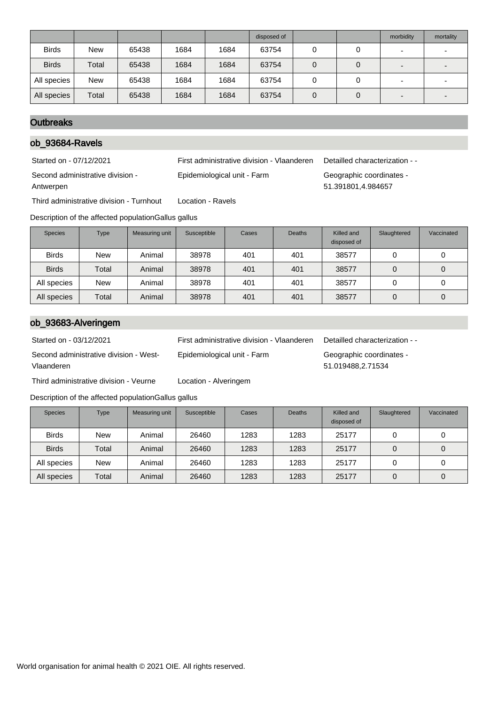|              |            |       |      |      | disposed of |   | morbidity                | mortality |
|--------------|------------|-------|------|------|-------------|---|--------------------------|-----------|
| <b>Birds</b> | <b>New</b> | 65438 | 1684 | 1684 | 63754       | 0 | $\overline{\phantom{0}}$ |           |
| <b>Birds</b> | Total      | 65438 | 1684 | 1684 | 63754       | 0 | $\overline{\phantom{0}}$ |           |
| All species  | <b>New</b> | 65438 | 1684 | 1684 | 63754       | O | $\overline{\phantom{0}}$ |           |
| All species  | Total      | 65438 | 1684 | 1684 | 63754       | 0 | $\overline{\phantom{0}}$ |           |

### **Outbreaks**

# ob\_93684-Ravels

Started on - 07/12/2021 First administrative division - Vlaanderen Detailled characterization - - Second administrative division - Antwerpen Epidemiological unit - Farm Geographic coordinates - 51.391801,4.984657

Third administrative division - Turnhout Location - Ravels

Description of the affected populationGallus gallus

| <b>Species</b> | <b>Type</b> | Measuring unit | Susceptible | Cases | <b>Deaths</b> | Killed and<br>disposed of | Slaughtered | Vaccinated |
|----------------|-------------|----------------|-------------|-------|---------------|---------------------------|-------------|------------|
| <b>Birds</b>   | <b>New</b>  | Animal         | 38978       | 401   | 401           | 38577                     |             | U          |
| <b>Birds</b>   | Total       | Animal         | 38978       | 401   | 401           | 38577                     |             | 0          |
| All species    | <b>New</b>  | Animal         | 38978       | 401   | 401           | 38577                     |             | 0          |
| All species    | Total       | Animal         | 38978       | 401   | 401           | 38577                     |             | 0          |

## ob\_93683-Alveringem

Second administrative division - West-Vlaanderen

Third administrative division - Veurne Location - Alveringem

Started on - 03/12/2021 First administrative division - Vlaanderen Detailled characterization - -

Epidemiological unit - Farm Geographic coordinates - 51.019488,2.71534

|  | Description of the affected populationGallus gallus |  |
|--|-----------------------------------------------------|--|
|  |                                                     |  |

| <b>Species</b> | <b>Type</b> | Measuring unit | Susceptible | Cases | <b>Deaths</b> | Killed and<br>disposed of | Slaughtered | Vaccinated |
|----------------|-------------|----------------|-------------|-------|---------------|---------------------------|-------------|------------|
| <b>Birds</b>   | <b>New</b>  | Animal         | 26460       | 1283  | 1283          | 25177                     | 0           |            |
| <b>Birds</b>   | Total       | Animal         | 26460       | 1283  | 1283          | 25177                     | 0           | 0          |
| All species    | <b>New</b>  | Animal         | 26460       | 1283  | 1283          | 25177                     |             |            |
| All species    | Total       | Animal         | 26460       | 1283  | 1283          | 25177                     | 0           | 0          |